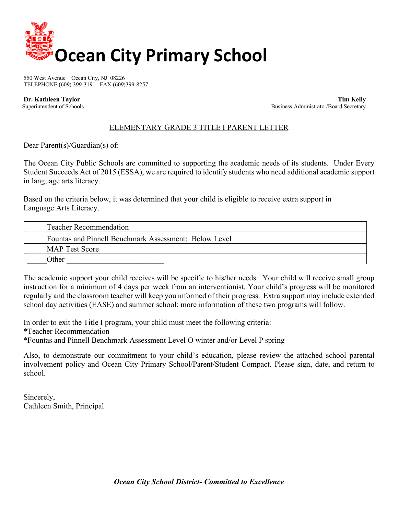

550 West Avenue Ocean City, NJ 08226 TELEPHONE (609) 399-3191 FAX (609)399-8257

 **Dr. Kathleen Taylor Tim Kelly** Superintendent of Schools Business Administrator/Board Secretary Business Administrator/Board Secretary

## ELEMENTARY GRADE 3 TITLE I PARENT LETTER

Dear Parent(s)/Guardian(s) of:

The Ocean City Public Schools are committed to supporting the academic needs of its students. Under Every Student Succeeds Act of 2015 (ESSA), we are required to identify students who need additional academic support in language arts literacy.

Based on the criteria below, it was determined that your child is eligible to receive extra support in Language Arts Literacy.

| <b>Teacher Recommendation</b>                         |
|-------------------------------------------------------|
| Fountas and Pinnell Benchmark Assessment: Below Level |
| <b>MAP Test Score</b>                                 |
| <b>Other</b>                                          |

The academic support your child receives will be specific to his/her needs. Your child will receive small group instruction for a minimum of 4 days per week from an interventionist. Your child's progress will be monitored regularly and the classroom teacher will keep you informed of their progress. Extra support may include extended school day activities (EASE) and summer school; more information of these two programs will follow.

In order to exit the Title I program, your child must meet the following criteria: \*Teacher Recommendation \*Fountas and Pinnell Benchmark Assessment Level O winter and/or Level P spring

Also, to demonstrate our commitment to your child's education, please review the attached school parental involvement policy and Ocean City Primary School/Parent/Student Compact. Please sign, date, and return to school.

Sincerely, Cathleen Smith, Principal